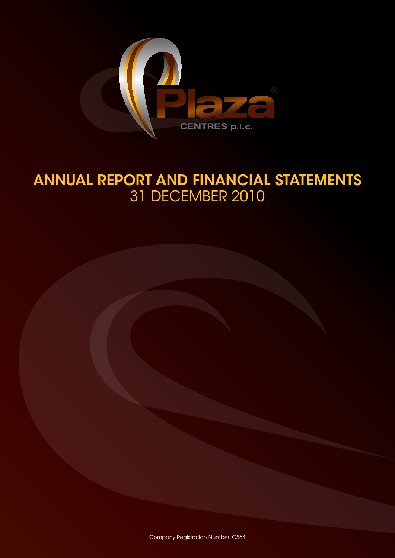

## ANNUAL REPORT AND FINANCIAL STATEMENT 31 December 2010

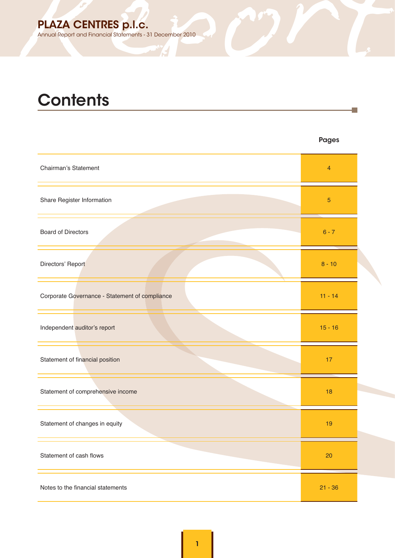|                                                | <b>Pages</b>   |  |
|------------------------------------------------|----------------|--|
| Chairman's Statement                           | $\overline{4}$ |  |
| Share Register Information                     | 5              |  |
| <b>Board of Directors</b>                      | $6 - 7$        |  |
| Directors' Report                              | $8 - 10$       |  |
| Corporate Governance - Statement of compliance | $11 - 14$      |  |
| Independent auditor's report                   | $15 - 16$      |  |
| Statement of financial position                | 17             |  |
| Statement of comprehensive income              | 18             |  |
| Statement of changes in equity                 | 19             |  |
| Statement of cash flows                        | 20             |  |
| Notes to the financial statements              | $21 - 36$      |  |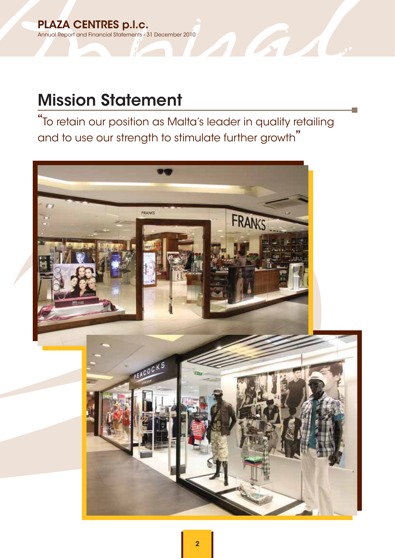————————————————————<br>"To retain our position as Malta's leader in quality retailing and to use our strength to stimulate further growth**"**

a.

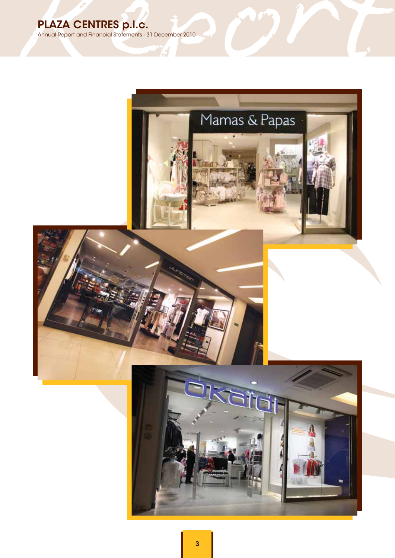

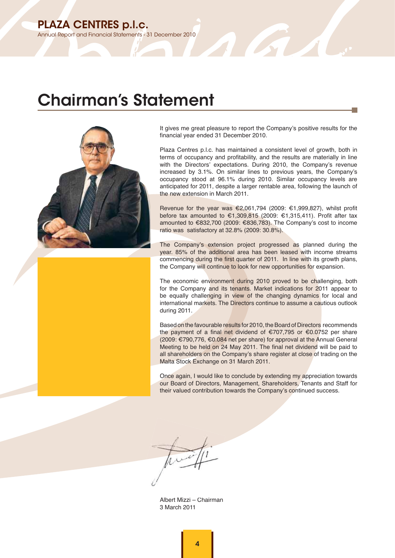

It gives me great pleasure to report the Company's positive results for the financial year ended 31 December 2010.

Plaza Centres p.l.c. has maintained a consistent level of growth, both in terms of occupancy and profitability, and the results are materially in line with the Directors' expectations. During 2010, the Company's revenue increased by 3.1%. On similar lines to previous years, the Company's occupancy stood at 96.1% during 2010. Similar occupancy levels are anticipated for 2011, despite a larger rentable area, following the launch of the new extension in March 2011.

Revenue for the year was €2,061,794 (2009: €1,999,827), whilst profit before tax amounted to  $£1,309,815$  (2009:  $£1,315,411$ ). Profit after tax amounted to €832,700 (2009: €836,783). The Company's cost to income ratio was satisfactory at 32.8% (2009: 30.8%).

The Company's extension project progressed as planned during the year. 85% of the additional area has been leased with income streams commencing during the first quarter of 2011. In line with its growth plans, the Company will continue to look for new opportunities for expansion.

The economic environment during 2010 proved to be challenging, both for the Company and its tenants. Market indications for 2011 appear to be equally challenging in view of the changing dynamics for local and international markets. The Directors continue to assume a cautious outlook during 2011.

Based on the favourable results for 2010, the Board of Directors recommends the payment of a final net dividend of €707,795 or €0.0752 per share (2009: €790,776, €0.084 net per share) for approval at the Annual General Meeting to be held on 24 May 2011. The final net dividend will be paid to all shareholders on the Company's share register at close of trading on the Malta Stock Exchange on 31 March 2011.

Once again, I would like to conclude by extending my appreciation towards our Board of Directors, Management, Shareholders, Tenants and Staff for their valued contribution towards the Company's continued success.

Albert Mizzi – Chairman 3 March 2011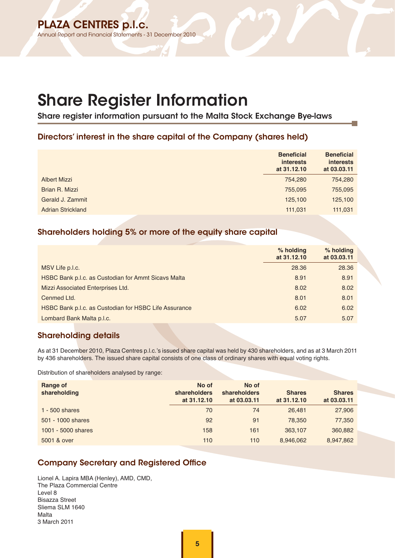Share register information pursuant to the Malta Stock Exchange Bye-laws

## Directors' interest in the share capital of the Company (shares held)

|                          | <b>Beneficial</b><br><b>interests</b><br>at 31.12.10 | <b>Beneficial</b><br><b>interests</b><br>at 03,03,11 |
|--------------------------|------------------------------------------------------|------------------------------------------------------|
| <b>Albert Mizzi</b>      | 754,280                                              | 754,280                                              |
| Brian R. Mizzi           | 755,095                                              | 755,095                                              |
| Gerald J. Zammit         | 125,100                                              | 125,100                                              |
| <b>Adrian Strickland</b> | 111,031                                              | 111,031                                              |

## Shareholders holding 5% or more of the equity share capital

|                                                       | % holding<br>at 31.12.10 | % holding<br>at 03.03.11 |
|-------------------------------------------------------|--------------------------|--------------------------|
| MSV Life p.l.c.                                       | 28.36                    | 28.36                    |
| HSBC Bank p.l.c. as Custodian for Ammt Sicavs Malta   | 8.91                     | 8.91                     |
| Mizzi Associated Enterprises Ltd.                     | 8.02                     | 8.02                     |
| Cenmed Ltd.                                           | 8.01                     | 8.01                     |
| HSBC Bank p.l.c. as Custodian for HSBC Life Assurance | 6.02                     | 6.02                     |
| Lombard Bank Malta p.l.c.                             | 5.07                     | 5.07                     |

## Shareholding details

As at 31 December 2010, Plaza Centres p.l.c.'s issued share capital was held by 430 shareholders, and as at 3 March 2011 by 436 shareholders. The issued share capital consists of one class of ordinary shares with equal voting rights.

Distribution of shareholders analysed by range:

| <b>Range of</b><br>shareholding | No of<br>shareholders<br>at 31.12.10 | No of<br>shareholders<br>at 03,03.11 | <b>Shares</b><br>at 31.12.10 | <b>Shares</b><br>at 03,03.11 |
|---------------------------------|--------------------------------------|--------------------------------------|------------------------------|------------------------------|
| $1 - 500$ shares                | 70                                   | 74                                   | 26,481                       | 27,906                       |
| 501 - 1000 shares               | 92                                   | 91                                   | 78,350                       | 77,350                       |
| 1001 - 5000 shares              | 158                                  | 161                                  | 363,107                      | 360,882                      |
| 5001 & over                     | 110                                  | 110                                  | 8.946.062                    | 8,947,862                    |

## Company Secretary and Registered Office

Lionel A. Lapira MBA (Henley), AMD, CMD, The Plaza Commercial Centre Level 8 Bisazza Street Sliema SLM 1640 Malta 3 March 2011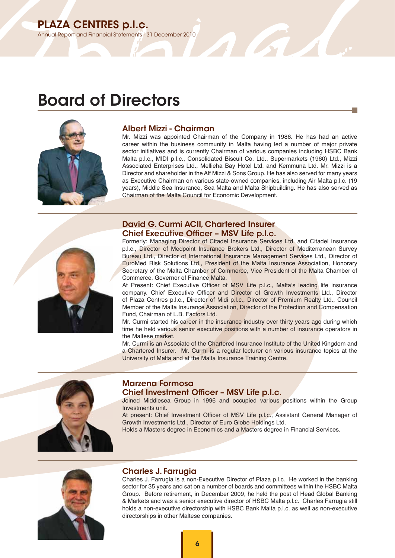## PLAZA CENTRES PLAZA CENTRES p.l.c.<br>Annual Report and Financial Statements - 31 December 2010 Annual Report and Financial Statements - 31 December 2010

## <u>Board of Directors of Directors of Directors of Directors of Directors of Directors of Directors of Directors o</u>



## **Albert Mizzi - Chairman**

Mr. Mizzi was appointed Chairman of the Company in 1986. He has had an active career within the business community in Malta having led a number of major private sector initiatives and is currently Chairman of various companies including HSBC Bank Malta p.l.c., MIDI p.l.c., Consolidated Biscuit Co. Ltd., Supermarkets (1960) Ltd., Mizzi Associated Enterprises Ltd., Mellieha Bay Hotel Ltd. and Kemmuna Ltd. Mr. Mizzi is a Director and shareholder in the Alf Mizzi & Sons Group. He has also served for many years as Executive Chairman on various state-owned companies, including Air Malta p.l.c. (19 years), Middle Sea Insurance, Sea Malta and Malta Shipbuilding. He has also served as Chairman of the Malta Council for Economic Development.



## David G. Curmi ACII, Chartered Insurer

Formerly: Managing Director of Citadel Insurance Services Ltd. and Citadel Insurance p.l.c., Director of Medpoint Insurance Brokers Ltd., Director of Mediterranean Survey Bureau Ltd., Director of International Insurance Management Services Ltd., Director of EuroMed Risk Solutions Ltd., President of the Malta Insurance Association, Honorary Secretary of the Malta Chamber of Commerce, Vice President of the Malta Chamber of Commerce, Governor of Finance Malta.

At Present: Chief Executive Officer of MSV Life p.l.c., Malta's leading life insurance company. Chief Executive Officer and Director of Growth Investments Ltd., Director of Plaza Centres p.l.c., Director of Midi p.l.c., Director of Premium Realty Ltd., Council Member of the Malta Insurance Association, Director of the Protection and Compensation Fund, Chairman of L.B. Factors Ltd.

Mr. Curmi started his career in the insurance industry over thirty years ago during which time he held various senior executive positions with a number of insurance operators in the Maltese market.

Mr. Curmi is an Associate of the Chartered Insurance Institute of the United Kingdom and a Chartered Insurer. Mr. Curmi is a regular lecturer on various insurance topics at the University of Malta and at the Malta Insurance Training Centre.



## **Marzena Formosa**

## Chief Investment Officer - MSV Life p.l.c.

Joined Middlesea Group in 1996 and occupied various positions within the Group Investments unit.

At present: Chief Investment Officer of MSV Life p.l.c., Assistant General Manager of Growth Investments Ltd., Director of Euro Globe Holdings Ltd.

Holds a Masters degree in Economics and a Masters degree in Financial Services.



Charles J. Farrugia Charles J. Farrugia is a non-Executive Director of Plaza p.l.c. He worked in the banking sector for 35 years and sat on a number of boards and committees within the HSBC Malta Group. Before retirement, in December 2009, he held the post of Head Global Banking & Markets and was a senior executive director of HSBC Malta p.l.c. Charles Farrugia still holds a non-executive directorship with HSBC Bank Malta p.l.c. as well as non-executive directorships in other Maltese companies.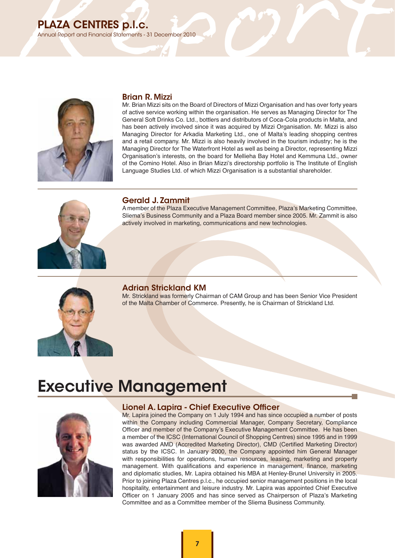## **PLAZA CENTRES p.l.c.**<br>Annual Report and Financial Statements - 31 December 2010<br>Brian R. Mizzi<br>Mr. Rrian Mizzi sits on the Board of Directors of Mizzi Organisation and has over forty years Annual Report and Financial Statements - 31 December 2010



Mr. Brian Mizzi sits on the Board of Directors of Mizzi Organisation and has over forty years of active service working within the organisation. He serves as Managing Director for The General Soft Drinks Co. Ltd., bottlers and distributors of Coca-Cola products in Malta, and has been actively involved since it was acquired by Mizzi Organisation. Mr. Mizzi is also Managing Director for Arkadia Marketing Ltd., one of Malta's leading shopping centres and a retail company. Mr. Mizzi is also heavily involved in the tourism industry; he is the Managing Director for The Waterfront Hotel as well as being a Director, representing Mizzi Organisation's interests, on the board for Mellieha Bay Hotel and Kemmuna Ltd., owner of the Comino Hotel. Also in Brian Mizzi's directorship portfolio is The Institute of English Language Studies Ltd. of which Mizzi Organisation is a substantial shareholder.



## Gerald J. Zammit

A member of the Plaza Executive Management Committee, Plaza's Marketing Committee, Sliema's Business Community and a Plaza Board member since 2005. Mr. Zammit is also actively involved in marketing, communications and new technologies.



## **Adrian Strickland KM**

Mr. Strickland was formerly Chairman of CAM Group and has been Senior Vice President of the Malta Chamber of Commerce. Presently, he is Chairman of Strickland Ltd.

## **Executive Management**<br>Lionel A. Lapira - Chief Executive Officer



Mr. Lapira joined the Company on 1 July 1994 and has since occupied a number of posts within the Company including Commercial Manager, Company Secretary, Compliance Officer and member of the Company's Executive Management Committee. He has been a member of the ICSC (International Council of Shopping Centres) since 1995 and in 1999 was awarded AMD (Accredited Marketing Director), CMD (Certified Marketing Director) status by the ICSC. In January 2000, the Company appointed him General Manager with responsibilities for operations, human resources, leasing, marketing and property management. With qualifications and experience in management, finance, marketing and diplomatic studies, Mr. Lapira obtained his MBA at Henley-Brunel University in 2005. Prior to joining Plaza Centres p.l.c., he occupied senior management positions in the local hospitality, entertainment and leisure industry. Mr. Lapira was appointed Chief Executive Officer on 1 January 2005 and has since served as Chairperson of Plaza's Marketing Committee and as a Committee member of the Sliema Business Community.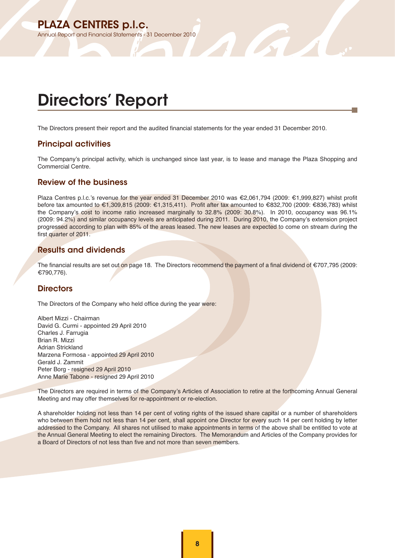## Directors' Report

The Directors present their report and the audited financial statements for the year ended 31 December 2010.

## Principal activities

The Company's principal activity, which is unchanged since last year, is to lease and manage the Plaza Shopping and Commercial Centre.

## **Review of the business** Review of the business

Plaza Centres p.l.c.'s revenue for the year ended 31 December 2010 was €2,061,794 (2009: €1,999,827) whilst profit before tax amounted to €1,309,815 (2009: €1,315,411). Profit after tax amounted to €832,700 (2009: €836,783) whilst the Company's cost to income ratio increased marginally to 32.8% (2009: 30.8%). In 2010, occupancy was 96.1% (2009: 94.2%) and similar occupancy levels are anticipated during 2011. During 2010, the Company's extension project progressed according to plan with 85% of the areas leased. The new leases are expected to come on stream during the first quarter of 2011.

## Results and dividends

The financial results are set out on page 18. The Directors recommend the payment of a final dividend of  $\epsilon$ 707,795 (2009: €790,776).

## **Directors** Directors

The Directors of the Company who held office during the year were:

Albert Mizzi - Chairman David G. Curmi - appointed 29 April 2010 Charles J. Farrugia Brian R. Mizzi Adrian Strickland Marzena Formosa - appointed 29 April 2010 Gerald J. Zammit Peter Borg - resigned 29 April 2010 Anne Marie Tabone - resigned 29 April 2010

The Directors are required in terms of the Company's Articles of Association to retire at the forthcoming Annual General Meeting and may offer themselves for re-appointment or re-election.

A shareholder holding not less than 14 per cent of voting rights of the issued share capital or a number of shareholders who between them hold not less than 14 per cent, shall appoint one Director for every such 14 per cent holding by letter addressed to the Company. All shares not utilised to make appointments in terms of the above shall be entitled to vote at the Annual General Meeting to elect the remaining Directors. The Memorandum and Articles of the Company provides for a Board of Directors of not less than five and not more than seven members.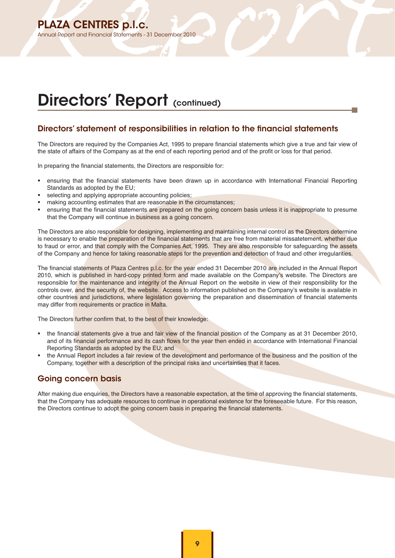# PLAZA CENTRES p.I.c.<br>Annual Report and Financial Statements - 31 December 2010<br>Directors' Report (continued)

## Directors' statement of responsibilities in relation to the fi nancial statements

The Directors are required by the Companies Act, 1995 to prepare financial statements which give a true and fair view of the state of affairs of the Company as at the end of each reporting period and of the profit or loss for that period.

In preparing the financial statements, the Directors are responsible for:

- ensuring that the financial statements have been drawn up in accordance with International Financial Reporting Standards as adopted by the EU;
- selecting and applying appropriate accounting policies;
- making accounting estimates that are reasonable in the circumstances;
- ensuring that the financial statements are prepared on the going concern basis unless it is inappropriate to presume that the Company will continue in business as a going concern.

The Directors are also responsible for designing, implementing and maintaining internal control as the Directors determine is necessary to enable the preparation of the financial statements that are free from material missatetement, whether due to fraud or error, and that comply with the Companies Act, 1995. They are also responsible for safeguarding the assets of the Company and hence for taking reasonable steps for the prevention and detection of fraud and other irregularities.

The financial statements of Plaza Centres p.l.c. for the year ended 31 December 2010 are included in the Annual Report 2010, which is published in hard-copy printed form and made available on the Company's website. The Directors are responsible for the maintenance and integrity of the Annual Report on the website in view of their responsibility for the controls over, and the security of, the website. Access to information published on the Company's website is available in other countries and jurisdictions, where legislation governing the preparation and dissemination of financial statements may differ from requirements or practice in Malta.

The Directors further confirm that, to the best of their knowledge:

- the financial statements give a true and fair view of the financial position of the Company as at 31 December 2010, and of its financial performance and its cash flows for the year then ended in accordance with International Financial Reporting Standards as adopted by the EU; and
- the Annual Report includes a fair review of the development and performance of the business and the position of the Company, together with a description of the principal risks and uncertainties that it faces.

## Going concern basis

After making due enquiries, the Directors have a reasonable expectation, at the time of approving the financial statements, that the Company has adequate resources to continue in operational existence for the foreseeable future. For this reason, the Directors continue to adopt the going concern basis in preparing the financial statements.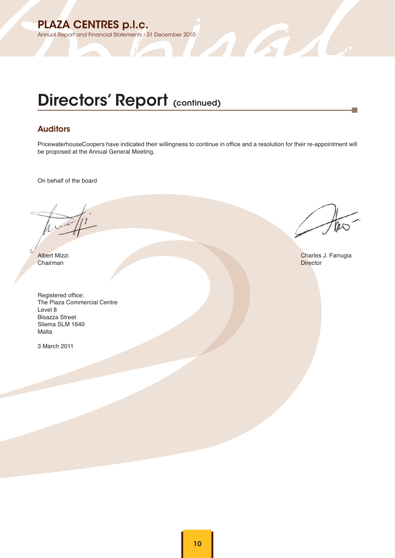

## Directors' Report (continued)

## Auditors

PricewaterhouseCoopers have indicated their willingness to continue in office and a resolution for their re-appointment will be proposed at the Annual General Meeting.

On behalf of the board

**PLAZA CENTRES**<br>Annual Report and Financial S<br>**Auditors**<br>PricewaterhouseCoopers has<br>be proposed at the Annual Gone<br>On behalf of the board<br>On behalf of the board

Albert Mizzi Chairman

Registered office: The Plaza Commercial Centre Level 8 Bisazza Street Sliema SLM 1640 Malta

3 March 2011

a.

Charles J. Farrugia **Director**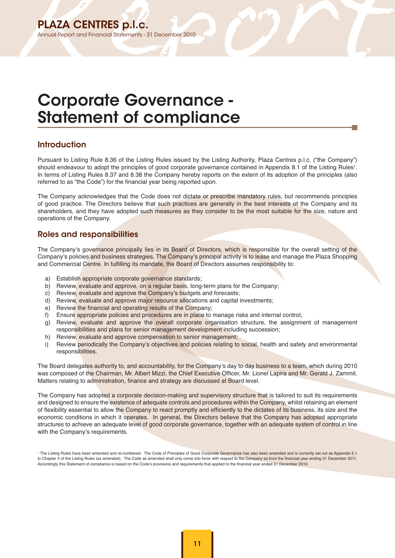## Corporate Governance - <u>Statement of complete product</u>

## **Introduction** Introduction

Pursuant to Listing Rule 8.36 of the Listing Rules issued by the Listing Authority, Plaza Centres p.l.c. ("the Company") should endeavour to adopt the principles of good corporate governance contained in Appendix 8.1 of the Listing Rules<sup>1</sup>. In terms of Listing Rules 8.37 and 8.38 the Company hereby reports on the extent of its adoption of the principles (also referred to as "the Code") for the financial year being reported upon.

The Company acknowledges that the Code does not dictate or prescribe mandatory rules, but recommends principles of good practice. The Directors believe that such practices are generally in the best interests of the Company and its shareholders, and they have adopted such measures as they consider to be the most suitable for the size, nature and operations of the Company.

## Roles and responsibilities

The Company's governance principally lies in its Board of Directors, which is responsible for the overall setting of the Company's policies and business strategies. The Company's principal activity is to lease and manage the Plaza Shopping and Commercial Centre. In fulfilling its mandate, the Board of Directors assumes responsibility to:

- a) Establish appropriate corporate governance standards;
- b) Review, evaluate and approve, on a regular basis, long-term plans for the Company;
- c) Review, evaluate and approve the Company's budgets and forecasts;
- d) Review, evaluate and approve major resource allocations and capital investments;
- e) Review the financial and operating results of the Company;
- f) Ensure appropriate policies and procedures are in place to manage risks and internal control;
- g) Review, evaluate and approve the overall corporate organisation structure, the assignment of management responsibilities and plans for senior management development including succession;
- h) Review, evaluate and approve compensation to senior management;
- i) Review periodically the Company's objectives and policies relating to social, health and safety and environmental responsibilities.

The Board delegates authority to, and accountability, for the Company's day to day business to a team, which during 2010 was composed of the Chairman, Mr. Albert Mizzi, the Chief Executive Officer, Mr. Lionel Lapira and Mr. Gerald J. Zammit. Matters relating to administration, finance and strategy are discussed at Board level.

The Company has adopted a corporate decision-making and supervisory structure that is tailored to suit its requirements and designed to ensure the existence of adequate controls and procedures within the Company, whilst retaining an element of flexibility essential to allow the Company to react promptly and efficiently to the dictates of its business, its size and the economic conditions in which it operates. In general, the Directors believe that the Company has adopted appropriate structures to achieve an adequate level of good corporate governance, together with an adequate system of control in line with the Company's requirements.

1 The Listing Rules have been amended and re-numbered. The Code of Principles of Good Corporate Governance has also been amended and is currently set out as Appendix 5.1 to Chapter 5 of the Listing Rules (as amended). The Code as amended shall only come into force with respect to the Company as from the financial year ending 31 December 2011. Accordingly this Statement of compliance is based on the Code's provisions and requirements that applied to the financial year ended 31 December 2010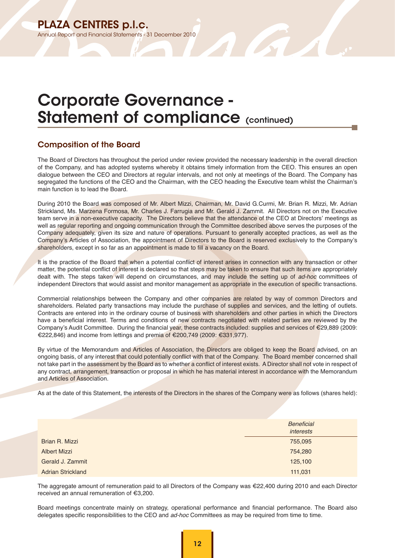## **Corporate Governance -<br>Statement of compliance (continued)**  $\frac{1}{\sqrt{2\pi}}$

## Composition of the Board

The Board of Directors has throughout the period under review provided the necessary leadership in the overall direction of the Company, and has adopted systems whereby it obtains timely information from the CEO. This ensures an open dialogue between the CEO and Directors at regular intervals, and not only at meetings of the Board. The Company has segregated the functions of the CEO and the Chairman, with the CEO heading the Executive team whilst the Chairman's main function is to lead the Board.

During 2010 the Board was composed of Mr. Albert Mizzi, Chairman, Mr. David G.Curmi, Mr. Brian R. Mizzi, Mr. Adrian Strickland, Ms. Marzena Formosa, Mr. Charles J. Farrugia and Mr. Gerald J. Zammit. All Directors not on the Executive team serve in a non-executive capacity. The Directors believe that the attendance of the CEO at Directors' meetings as well as regular reporting and ongoing communication through the Committee described above serves the purposes of the Company adequately, given its size and nature of operations. Pursuant to generally accepted practices, as well as the Company's Articles of Association, the appointment of Directors to the Board is reserved exclusively to the Company's shareholders, except in so far as an appointment is made to fill a vacancy on the Board.

It is the practice of the Board that when a potential conflict of interest arises in connection with any transaction or other matter, the potential conflict of interest is declared so that steps may be taken to ensure that such items are appropriately dealt with. The steps taken will depend on circumstances, and may include the setting up of *ad-hoc* committees of independent Directors that would assist and monitor management as appropriate in the execution of specific transactions.

Commercial relationships between the Company and other companies are related by way of common Directors and shareholders. Related party transactions may include the purchase of supplies and services, and the letting of outlets. Contracts are entered into in the ordinary course of business with shareholders and other parties in which the Directors have a beneficial interest. Terms and conditions of new contracts negotiated with related parties are reviewed by the Company's Audit Committee. During the financial year, these contracts included: supplies and services of €29,889 (2009: €222,846) and income from lettings and premia of €200,749 (2009: €331,977).

By virtue of the Memorandum and Articles of Association, the Directors are obliged to keep the Board advised, on an ongoing basis, of any interest that could potentially conflict with that of the Company. The Board member concerned shall not take part in the assessment by the Board as to whether a conflict of interest exists. A Director shall not vote in respect of any contract, arrangement, transaction or proposal in which he has material interest in accordance with the Memorandum and Articles of Association.

As at the date of this Statement, the interests of the Directors in the shares of the Company were as follows (shares held):

|                          | <b>Beneficial</b><br>interests |
|--------------------------|--------------------------------|
| Brian R. Mizzi           | 755,095                        |
| <b>Albert Mizzi</b>      | 754,280                        |
| Gerald J. Zammit         | 125,100                        |
| <b>Adrian Strickland</b> | 111,031                        |

The aggregate amount of remuneration paid to all Directors of the Company was €22,400 during 2010 and each Director received an annual remuneration of €3,200.

Board meetings concentrate mainly on strategy, operational performance and financial performance. The Board also delegates specific responsibilities to the CEO and *ad-hoc* Committees as may be required from time to time.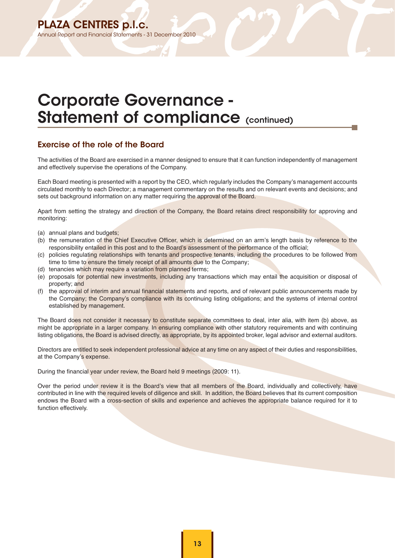## **Corporate Governance -<br>Statement of compliance (continued)**  $\frac{1}{\sqrt{2\pi}}$ PLAZA CENTRES p.l.c.<br>
Annual Report and Financial Statements - 31 December 2010<br>
Corporate Governance -

## Exercise of the role of the Board Exercise of the role of the Board

The activities of the Board are exercised in a manner designed to ensure that it can function independently of management and effectively supervise the operations of the Company.

Each Board meeting is presented with a report by the CEO, which regularly includes the Company's management accounts circulated monthly to each Director; a management commentary on the results and on relevant events and decisions; and sets out background information on any matter requiring the approval of the Board.

Apart from setting the strategy and direction of the Company, the Board retains direct responsibility for approving and monitoring:

- (a) annual plans and budgets;
- (b) the remuneration of the Chief Executive Officer, which is determined on an arm's length basis by reference to the responsibility entailed in this post and to the Board's assessment of the performance of the official;
- (c) policies regulating relationships with tenants and prospective tenants, including the procedures to be followed from time to time to ensure the timely receipt of all amounts due to the Company;
- (d) tenancies which may require a variation from planned terms;
- (e) proposals for potential new investments, including any transactions which may entail the acquisition or disposal of property; and
- (f) the approval of interim and annual financial statements and reports, and of relevant public announcements made by the Company; the Company's compliance with its continuing listing obligations; and the systems of internal control established by management.

The Board does not consider it necessary to constitute separate committees to deal, inter alia, with item (b) above, as might be appropriate in a larger company. In ensuring compliance with other statutory requirements and with continuing listing obligations, the Board is advised directly, as appropriate, by its appointed broker, legal advisor and external auditors.

Directors are entitled to seek independent professional advice at any time on any aspect of their duties and responsibilities, at the Company's expense.

During the financial year under review, the Board held 9 meetings (2009: 11).

Over the period under review it is the Board's view that all members of the Board, individually and collectively, have contributed in line with the required levels of diligence and skill. In addition, the Board believes that its current composition endows the Board with a cross-section of skills and experience and achieves the appropriate balance required for it to function effectively.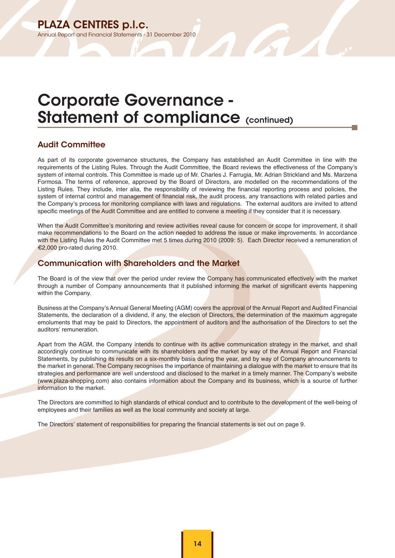## **Corporate Governance -<br>Statement of compliance (continued)**  $\frac{1}{\sqrt{2\pi}}$

## **Audit Committee** Audit Committee

As part of its corporate governance structures, the Company has established an Audit Committee in line with the requirements of the Listing Rules. Through the Audit Committee, the Board reviews the effectiveness of the Company's system of internal controls. This Committee is made up of Mr. Charles J. Farrugia, Mr. Adrian Strickland and Ms. Marzena Formosa. The terms of reference, approved by the Board of Directors, are modelled on the recommendations of the Listing Rules. They include, inter alia, the responsibility of reviewing the financial reporting process and policies, the system of internal control and management of financial risk, the audit process, any transactions with related parties and the Company's process for monitoring compliance with laws and regulations. The external auditors are invited to attend specific meetings of the Audit Committee and are entitled to convene a meeting if they consider that it is necessary.

When the Audit Committee's monitoring and review activities reveal cause for concern or scope for improvement, it shall make recommendations to the Board on the action needed to address the issue or make improvements. In accordance with the Listing Rules the Audit Committee met 5 times during 2010 (2009: 5). Each Director received a remuneration of €2,000 pro-rated during 2010.

## Communication with Shareholders and the Market

The Board is of the view that over the period under review the Company has communicated effectively with the market through a number of Company announcements that it published informing the market of significant events happening within the Company.

Business at the Company's Annual General Meeting (AGM) covers the approval of the Annual Report and Audited Financial Statements, the declaration of a dividend, if any, the election of Directors, the determination of the maximum aggregate emoluments that may be paid to Directors, the appointment of auditors and the authorisation of the Directors to set the auditors' remuneration.

Apart from the AGM, the Company intends to continue with its active communication strategy in the market, and shall accordingly continue to communicate with its shareholders and the market by way of the Annual Report and Financial Statements, by publishing its results on a six-monthly basis during the year, and by way of Company announcements to the market in general. The Company recognises the importance of maintaining a dialogue with the market to ensure that its strategies and performance are well understood and disclosed to the market in a timely manner. The Company's website (www.plaza-shopping.com) also contains information about the Company and its business, which is a source of further information to the market.

The Directors are committed to high standards of ethical conduct and to contribute to the development of the well-being of employees and their families as well as the local community and society at large.

The Directors' statement of responsibilities for preparing the financial statements is set out on page 9.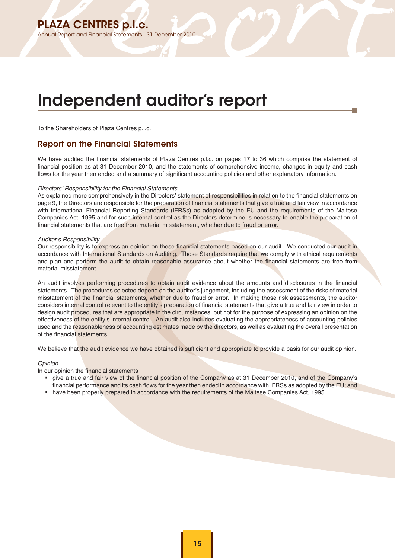# PLAZA CENTRES p.I.c.<br>Annual Report and Financial Statements - 31 December 2010<br>Independent auditor's report

To the Shareholders of Plaza Centres p.l.c.

## Report on the Financial Statements

We have audited the financial statements of Plaza Centres p.l.c. on pages 17 to 36 which comprise the statement of financial position as at 31 December 2010, and the statements of comprehensive income, changes in equity and cash flows for the year then ended and a summary of significant accounting policies and other explanatory information.

## *Directors' Responsibility for the Financial Statements*

As explained more comprehensively in the Directors' statement of responsibilities in relation to the financial statements on page 9, the Directors are responsible for the preparation of financial statements that give a true and fair view in accordance with International Financial Reporting Standards (IFRSs) as adopted by the EU and the requirements of the Maltese Companies Act, 1995 and for such internal control as the Directors determine is necessary to enable the preparation of financial statements that are free from material misstatement, whether due to fraud or error.

## *Auditor's Responsibility*

Our responsibility is to express an opinion on these financial statements based on our audit. We conducted our audit in accordance with International Standards on Auditing. Those Standards require that we comply with ethical requirements and plan and perform the audit to obtain reasonable assurance about whether the financial statements are free from material misstatement.

An audit involves performing procedures to obtain audit evidence about the amounts and disclosures in the financial statements. The procedures selected depend on the auditor's judgement, including the assessment of the risks of material misstatement of the financial statements, whether due to fraud or error. In making those risk assessments, the auditor considers internal control relevant to the entity's preparation of financial statements that give a true and fair view in order to design audit procedures that are appropriate in the circumstances, but not for the purpose of expressing an opinion on the effectiveness of the entity's internal control. An audit also includes evaluating the appropriateness of accounting policies used and the reasonableness of accounting estimates made by the directors, as well as evaluating the overall presentation of the financial statements.

We believe that the audit evidence we have obtained is sufficient and appropriate to provide a basis for our audit opinion.

## *Opinion*

In our opinion the financial statements

- " give a true and fair view of the financial position of the Company as at 31 December 2010, and of the Company's financial performance and its cash flows for the year then ended in accordance with IFRSs as adopted by the EU; and
- have been properly prepared in accordance with the requirements of the Maltese Companies Act, 1995.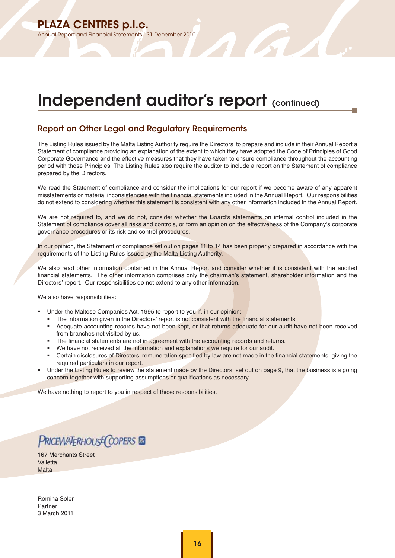## Independent auditor's report (continued)

## Report on Other Legal and Regulatory Requirements

The Listing Rules issued by the Malta Listing Authority require the Directors to prepare and include in their Annual Report a Statement of compliance providing an explanation of the extent to which they have adopted the Code of Principles of Good Corporate Governance and the effective measures that they have taken to ensure compliance throughout the accounting period with those Principles. The Listing Rules also require the auditor to include a report on the Statement of compliance prepared by the Directors.

We read the Statement of compliance and consider the implications for our report if we become aware of any apparent misstatements or material inconsistencies with the financial statements included in the Annual Report. Our responsibilities do not extend to considering whether this statement is consistent with any other information included in the Annual Report.

We are not required to, and we do not, consider whether the Board's statements on internal control included in the Statement of compliance cover all risks and controls, or form an opinion on the effectiveness of the Company's corporate governance procedures or its risk and control procedures.

In our opinion, the Statement of compliance set out on pages 11 to 14 has been properly prepared in accordance with the requirements of the Listing Rules issued by the Malta Listing Authority.

We also read other information contained in the Annual Report and consider whether it is consistent with the audited financial statements. The other information comprises only the chairman's statement, shareholder information and the Directors' report. Our responsibilities do not extend to any other information.

We also have responsibilities:

- - Under the Maltese Companies Act, 1995 to report to you if, in our opinion:
	- -The information given in the Directors' report is not consistent with the financial statements.
	- - Adequate accounting records have not been kept, or that returns adequate for our audit have not been received from branches not visited by us.
	- -The financial statements are not in agreement with the accounting records and returns.
	- We have not received all the information and explanations we require for our audit.
	- -Certain disclosures of Directors' remuneration specified by law are not made in the financial statements, giving the required particulars in our report.
- - Under the Listing Rules to review the statement made by the Directors, set out on page 9, that the business is a going concern together with supporting assumptions or qualifications as necessary.

We have nothing to report to you in respect of these responsibilities.

## **PRICEWATERHOUSE COPERS**

167 Merchants Street **Valletta** Malta

Romina Soler Partner 3 March 2011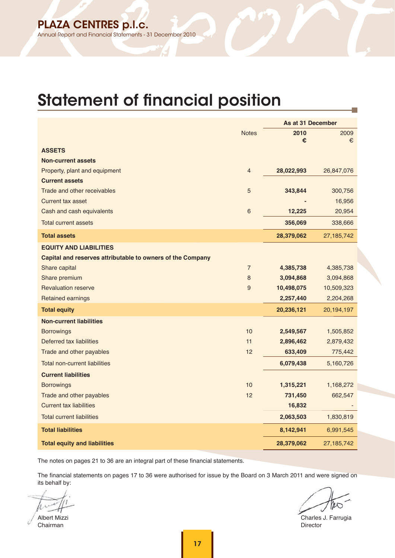# PLAZA CENTRES p.I.c.<br>Annual Report and Financial Statements - 31 December 2010<br>Statement of financial position

|                                                            |                | As at 31 December |              |  |
|------------------------------------------------------------|----------------|-------------------|--------------|--|
|                                                            | <b>Notes</b>   | 2010              | 2009         |  |
| <b>ASSETS</b>                                              |                | €                 | €            |  |
| <b>Non-current assets</b>                                  |                |                   |              |  |
| Property, plant and equipment                              | $\overline{4}$ | 28,022,993        | 26,847,076   |  |
| <b>Current assets</b>                                      |                |                   |              |  |
| Trade and other receivables                                | $\overline{5}$ | 343,844           | 300,756      |  |
| <b>Current tax asset</b>                                   |                |                   | 16,956       |  |
| Cash and cash equivalents                                  | 6              | 12,225            | 20,954       |  |
| <b>Total current assets</b>                                |                | 356,069           | 338,666      |  |
| <b>Total assets</b>                                        |                | 28,379,062        | 27, 185, 742 |  |
| <b>EQUITY AND LIABILITIES</b>                              |                |                   |              |  |
| Capital and reserves attributable to owners of the Company |                |                   |              |  |
| Share capital                                              | $\overline{7}$ | 4,385,738         | 4,385,738    |  |
| Share premium                                              | 8              | 3,094,868         | 3,094,868    |  |
| <b>Revaluation reserve</b>                                 | 9              | 10,498,075        | 10,509,323   |  |
| <b>Retained earnings</b>                                   |                | 2,257,440         | 2,204,268    |  |
| <b>Total equity</b>                                        |                | 20,236,121        | 20,194,197   |  |
| <b>Non-current liabilities</b>                             |                |                   |              |  |
| <b>Borrowings</b>                                          | 10             | 2,549,567         | 1,505,852    |  |
| Deferred tax liabilities                                   | 11             | 2,896,462         | 2,879,432    |  |
| Trade and other payables                                   | 12             | 633,409           | 775,442      |  |
| <b>Total non-current liabilities</b>                       |                | 6,079,438         | 5,160,726    |  |
| <b>Current liabilities</b>                                 |                |                   |              |  |
| <b>Borrowings</b>                                          | 10             | 1,315,221         | 1,168,272    |  |
| Trade and other payables                                   | 12             | 731,450           | 662,547      |  |
| <b>Current tax liabilities</b>                             |                | 16,832            |              |  |
| <b>Total current liabilities</b>                           |                | 2,063,503         | 1,830,819    |  |
| <b>Total liabilities</b>                                   |                | 8,142,941         | 6,991,545    |  |
| <b>Total equity and liabilities</b>                        |                | 28,379,062        | 27, 185, 742 |  |

The notes on pages 21 to 36 are an integral part of these financial statements.

The financial statements on pages 17 to 36 were authorised for issue by the Board on 3 March 2011 and were signed on its behalf by:

Albert Mizzi Chairman

Charles J. Farrugia Director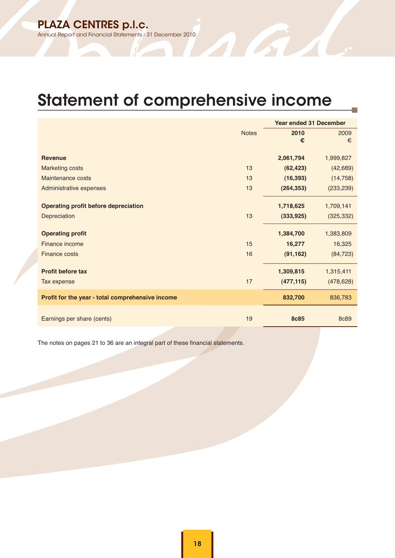## Statement of comprehensive income

|                                                             |              | <b>Year ended 31 December</b> |                         |
|-------------------------------------------------------------|--------------|-------------------------------|-------------------------|
|                                                             | <b>Notes</b> | 2010<br>€                     | 2009<br>€               |
| <b>Revenue</b>                                              |              | 2,061,794                     | 1,999,827               |
| <b>Marketing costs</b>                                      | 13           | (62, 423)                     | (42, 689)               |
| Maintenance costs                                           | 13           | (16, 393)                     | (14, 758)               |
| Administrative expenses                                     | 13           | (264, 353)                    | (233, 239)              |
| <b>Operating profit before depreciation</b><br>Depreciation | 13           | 1,718,625<br>(333, 925)       | 1,709,141<br>(325, 332) |
| <b>Operating profit</b><br>Finance income                   | 15           | 1,384,700<br>16,277           | 1,383,809<br>16,325     |
| <b>Finance costs</b>                                        | 16           | (91, 162)                     | (84, 723)               |
| <b>Profit before tax</b><br>Tax expense                     | 17           | 1,309,815<br>(477, 115)       | 1,315,411<br>(478, 628) |
| Profit for the year - total comprehensive income            |              | 832,700                       | 836,783                 |
| Earnings per share (cents)                                  | 19           | <b>8c85</b>                   | <b>8c89</b>             |

The notes on pages 21 to 36 are an integral part of these financial statements.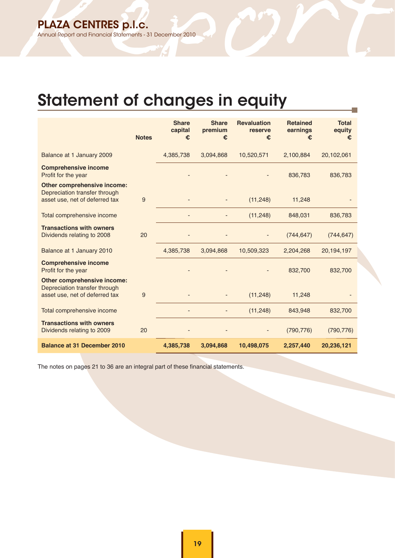# PLAZA CENTRES p.I.c.<br>Annual Report and Financial Statements - 31 December 2010<br>Statement of changes in equity

|                                                                                                       | <b>Notes</b> | <b>Share</b><br>capital<br>€ | <b>Share</b><br>premium<br>€ | <b>Revaluation</b><br>reserve<br>€ | <b>Retained</b><br>earnings<br>€ | <b>Total</b><br>equity<br>€ |
|-------------------------------------------------------------------------------------------------------|--------------|------------------------------|------------------------------|------------------------------------|----------------------------------|-----------------------------|
| Balance at 1 January 2009                                                                             |              | 4,385,738                    | 3,094,868                    | 10,520,571                         | 2,100,884                        | 20,102,061                  |
| <b>Comprehensive income</b><br>Profit for the year                                                    |              |                              |                              |                                    | 836,783                          | 836,783                     |
| <b>Other comprehensive income:</b><br>Depreciation transfer through                                   |              |                              |                              |                                    |                                  |                             |
| asset use, net of deferred tax                                                                        | 9            |                              |                              | (11, 248)                          | 11,248                           |                             |
| Total comprehensive income                                                                            |              |                              |                              | (11, 248)                          | 848,031                          | 836,783                     |
| <b>Transactions with owners</b><br>Dividends relating to 2008                                         | 20           |                              |                              |                                    | (744, 647)                       | (744, 647)                  |
| Balance at 1 January 2010                                                                             |              | 4,385,738                    | 3,094,868                    | 10,509,323                         | 2,204,268                        | 20,194,197                  |
| <b>Comprehensive income</b><br>Profit for the year                                                    |              |                              |                              |                                    | 832,700                          | 832,700                     |
| <b>Other comprehensive income:</b><br>Depreciation transfer through<br>asset use, net of deferred tax | 9            |                              |                              | (11, 248)                          | 11,248                           |                             |
| Total comprehensive income                                                                            |              |                              |                              | (11, 248)                          | 843,948                          | 832,700                     |
| <b>Transactions with owners</b><br>Dividends relating to 2009                                         | 20           |                              |                              | -                                  | (790, 776)                       | (790, 776)                  |
| <b>Balance at 31 December 2010</b>                                                                    |              | 4,385,738                    | 3,094,868                    | 10,498,075                         | 2,257,440                        | 20,236,121                  |

The notes on pages 21 to 36 are an integral part of these financial statements.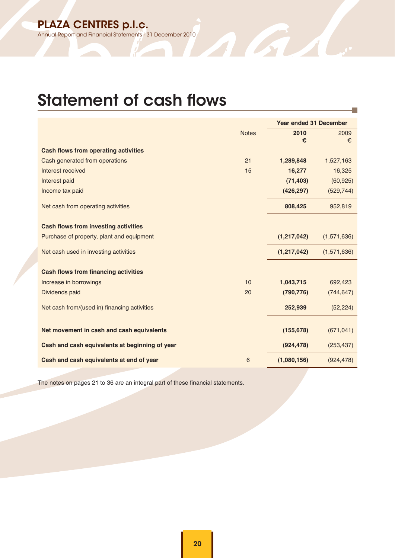## Statement of cash flows

|                                                |              | <b>Year ended 31 December</b> |             |
|------------------------------------------------|--------------|-------------------------------|-------------|
|                                                | <b>Notes</b> | 2010                          | 2009        |
|                                                |              | €                             | €           |
| <b>Cash flows from operating activities</b>    |              |                               |             |
| Cash generated from operations                 | 21           | 1,289,848                     | 1,527,163   |
| Interest received                              | 15           | 16,277                        | 16,325      |
| Interest paid                                  |              | (71, 403)                     | (60, 925)   |
| Income tax paid                                |              | (426, 297)                    | (529, 744)  |
| Net cash from operating activities             |              | 808,425                       | 952,819     |
| <b>Cash flows from investing activities</b>    |              |                               |             |
| Purchase of property, plant and equipment      |              | (1, 217, 042)                 | (1,571,636) |
| Net cash used in investing activities          |              | (1, 217, 042)                 | (1,571,636) |
| <b>Cash flows from financing activities</b>    |              |                               |             |
| Increase in borrowings                         | 10           | 1,043,715                     | 692,423     |
| Dividends paid                                 | 20           | (790, 776)                    | (744, 647)  |
| Net cash from/(used in) financing activities   |              | 252,939                       | (52, 224)   |
| Net movement in cash and cash equivalents      |              | (155, 678)                    | (671, 041)  |
| Cash and cash equivalents at beginning of year |              | (924, 478)                    | (253, 437)  |
| Cash and cash equivalents at end of year       | 6            | (1,080,156)                   | (924, 478)  |

a.

The notes on pages 21 to 36 are an integral part of these financial statements.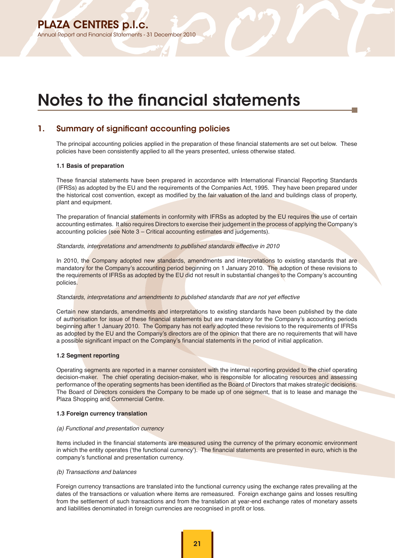# <u>Notes to the financial statements to the financial statement</u> PLAZA CENTRES p.l.c.<br>Annual Report and Financial Statements - 31 December 2010<br>Notes to the financial statements

## 1. Summary of significant accounting policies

The principal accounting policies applied in the preparation of these financial statements are set out below. These policies have been consistently applied to all the years presented, unless otherwise stated.

## **1.1 Basis of preparation**

These financial statements have been prepared in accordance with International Financial Reporting Standards (IFRSs) as adopted by the EU and the requirements of the Companies Act, 1995. They have been prepared under the historical cost convention, except as modified by the fair valuation of the land and buildings class of property, plant and equipment.

The preparation of financial statements in conformity with IFRSs as adopted by the EU requires the use of certain accounting estimates. It also requires Directors to exercise their judgement in the process of applying the Company's accounting policies (see Note 3 – Critical accounting estimates and judgements).

## *Standards, interpretations and amendments to published standards effective in 2010*

In 2010, the Company adopted new standards, amendments and interpretations to existing standards that are mandatory for the Company's accounting period beginning on 1 January 2010. The adoption of these revisions to the requirements of IFRSs as adopted by the EU did not result in substantial changes to the Company's accounting policies.

## *Standards, interpretations and amendments to published standards that are not yet effective*

Certain new standards, amendments and interpretations to existing standards have been published by the date of authorisation for issue of these financial statements but are mandatory for the Company's accounting periods beginning after 1 January 2010. The Company has not early adopted these revisions to the requirements of IFRSs as adopted by the EU and the Company's directors are of the opinion that there are no requirements that will have a possible significant impact on the Company's financial statements in the period of initial application.

## **1.2 Segment reporting**

Operating segments are reported in a manner consistent with the internal reporting provided to the chief operating decision-maker. The chief operating decision-maker, who is responsible for allocating resources and assessing performance of the operating segments has been identified as the Board of Directors that makes strategic decisions. The Board of Directors considers the Company to be made up of one segment, that is to lease and manage the Plaza Shopping and Commercial Centre.

## **1.3 Foreign currency translation**

## *(a) Functional and presentation currency*

Items included in the financial statements are measured using the currency of the primary economic environment in which the entity operates ('the functional currency'). The financial statements are presented in euro, which is the company's functional and presentation currency.

## *(b) Transactions and balances*

Foreign currency transactions are translated into the functional currency using the exchange rates prevailing at the dates of the transactions or valuation where items are remeasured. Foreign exchange gains and losses resulting from the settlement of such transactions and from the translation at year-end exchange rates of monetary assets and liabilities denominated in foreign currencies are recognised in profit or loss.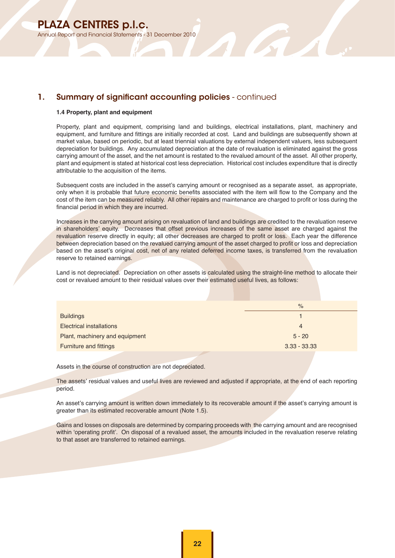## PLAZA CENTRES PLAZA CENTRES p.l.c.<br>Annual Report and Financial Statements - 31 December 2010 Annual Report and Financial Statements - 31 December 2010

## 1. Summary of significant accounting policies - continued

## **1.4 Property, plant and equipment**

Property, plant and equipment, comprising land and buildings, electrical installations, plant, machinery and equipment, and furniture and fittings are initially recorded at cost. Land and buildings are subsequently shown at market value, based on periodic, but at least triennial valuations by external independent valuers, less subsequent depreciation for buildings. Any accumulated depreciation at the date of revaluation is eliminated against the gross carrying amount of the asset, and the net amount is restated to the revalued amount of the asset. All other property, plant and equipment is stated at historical cost less depreciation. Historical cost includes expenditure that is directly attributable to the acquisition of the items.

Subsequent costs are included in the asset's carrying amount or recognised as a separate asset, as appropriate, only when it is probable that future economic benefits associated with the item will flow to the Company and the cost of the item can be measured reliably. All other repairs and maintenance are charged to profit or loss during the financial period in which they are incurred.

Increases in the carrying amount arising on revaluation of land and buildings are credited to the revaluation reserve in shareholders' equity. Decreases that offset previous increases of the same asset are charged against the revaluation reserve directly in equity; all other decreases are charged to profit or loss. Each year the difference between depreciation based on the revalued carrying amount of the asset charged to profit or loss and depreciation based on the asset's original cost, net of any related deferred income taxes, is transferred from the revaluation reserve to retained earnings.

Land is not depreciated. Depreciation on other assets is calculated using the straight-line method to allocate their cost or revalued amount to their residual values over their estimated useful lives, as follows:

|                                 | $\frac{9}{6}$  |  |
|---------------------------------|----------------|--|
| <b>Buildings</b>                |                |  |
| <b>Electrical installations</b> | 4              |  |
| Plant, machinery and equipment  | $5 - 20$       |  |
| Furniture and fittings          | $3.33 - 33.33$ |  |
|                                 |                |  |

Assets in the course of construction are not depreciated.

The assets' residual values and useful lives are reviewed and adjusted if appropriate, at the end of each reporting period.

An asset's carrying amount is written down immediately to its recoverable amount if the asset's carrying amount is greater than its estimated recoverable amount (Note 1.5).

Gains and losses on disposals are determined by comparing proceeds with the carrying amount and are recognised within 'operating profit'. On disposal of a revalued asset, the amounts included in the revaluation reserve relating to that asset are transferred to retained earnings.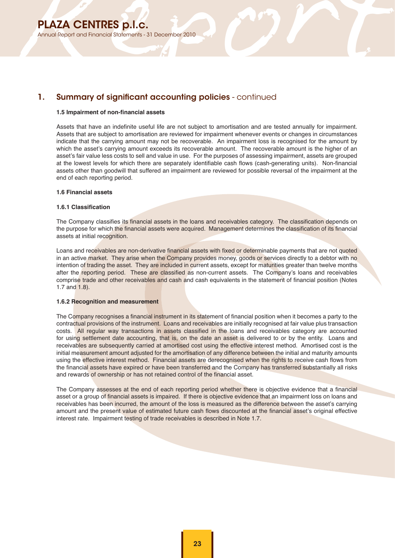## PLAZA CENTRES p.l.c.<br>
Annual Report and Financial Statements - 31 December 2010<br>
1. Summary of significant accounting policies - continued Annual Report and Financial Statements - 31 December 2010

## 1. Summary of significant accounting policies - continued

## **1.5 Impairment of non-financial assets**

Assets that have an indefinite useful life are not subject to amortisation and are tested annually for impairment. Assets that are subject to amortisation are reviewed for impairment whenever events or changes in circumstances indicate that the carrying amount may not be recoverable. An impairment loss is recognised for the amount by which the asset's carrying amount exceeds its recoverable amount. The recoverable amount is the higher of an asset's fair value less costs to sell and value in use. For the purposes of assessing impairment, assets are grouped at the lowest levels for which there are separately identifiable cash flows (cash-generating units). Non-financial assets other than goodwill that suffered an impairment are reviewed for possible reversal of the impairment at the end of each reporting period.

## **1.6 Financial assets**

## **1.6.1 Classification**

The Company classifies its financial assets in the loans and receivables category. The classification depends on the purpose for which the financial assets were acquired. Management determines the classification of its financial assets at initial recognition.

Loans and receivables are non-derivative financial assets with fixed or determinable payments that are not quoted in an active market. They arise when the Company provides money, goods or services directly to a debtor with no intention of trading the asset. They are included in current assets, except for maturities greater than twelve months after the reporting period. These are classified as non-current assets. The Company's loans and receivables comprise trade and other receivables and cash and cash equivalents in the statement of financial position (Notes 1.7 and 1.8).

## **1.6.2 Recognition and measurement**

The Company recognises a financial instrument in its statement of financial position when it becomes a party to the contractual provisions of the instrument. Loans and receivables are initially recognised at fair value plus transaction costs. All regular way transactions in assets classified in the loans and receivables category are accounted for using settlement date accounting, that is, on the date an asset is delivered to or by the entity. Loans and receivables are subsequently carried at amortised cost using the effective interest method. Amortised cost is the initial measurement amount adjusted for the amortisation of any difference between the initial and maturity amounts using the effective interest method. Financial assets are derecognised when the rights to receive cash flows from the financial assets have expired or have been transferred and the Company has transferred substantially all risks and rewards of ownership or has not retained control of the financial asset.

The Company assesses at the end of each reporting period whether there is objective evidence that a financial asset or a group of financial assets is impaired. If there is objective evidence that an impairment loss on loans and receivables has been incurred, the amount of the loss is measured as the difference between the asset's carrying amount and the present value of estimated future cash flows discounted at the financial asset's original effective interest rate. Impairment testing of trade receivables is described in Note 1.7.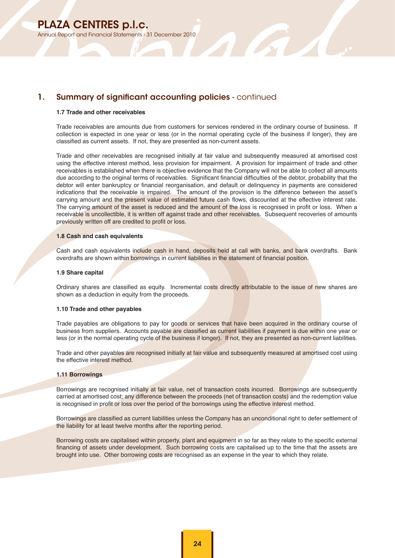## 1. Summary of significant accounting policies - continued

## **1.7 Trade and other receivables**

Trade receivables are amounts due from customers for services rendered in the ordinary course of business. If collection is expected in one year or less (or in the normal operating cycle of the business if longer), they are classified as current assets. If not, they are presented as non-current assets.

Trade and other receivables are recognised initially at fair value and subsequently measured at amortised cost using the effective interest method, less provision for impairment. A provision for impairment of trade and other receivables is established when there is objective evidence that the Company will not be able to collect all amounts due according to the original terms of receivables. Significant financial difficulties of the debtor, probability that the debtor will enter bankruptcy or financial reorganisation, and default or delinquency in payments are considered indications that the receivable is impaired. The amount of the provision is the difference between the asset's carrying amount and the present value of estimated future cash flows, discounted at the effective interest rate. The carrying amount of the asset is reduced and the amount of the loss is recognised in profit or loss. When a receivable is uncollectible, it is written off against trade and other receivables. Subsequent recoveries of amounts previously written off are credited to profit or loss.

## **1.8 Cash and cash equivalents**

Cash and cash equivalents include cash in hand, deposits held at call with banks, and bank overdrafts. Bank overdrafts are shown within borrowings in current liabilities in the statement of financial position.

## **1.9 Share capital**

Ordinary shares are classified as equity. Incremental costs directly attributable to the issue of new shares are shown as a deduction in equity from the proceeds.

## **1.10 Trade and other payables**

Trade payables are obligations to pay for goods or services that have been acquired in the ordinary course of business from suppliers. Accounts payable are classified as current liabilities if payment is due within one year or less (or in the normal operating cycle of the business if longer). If not, they are presented as non-current liabilities.

Trade and other payables are recognised initially at fair value and subsequently measured at amortised cost using the effective interest method.

## **1.11 Borrowings**

Borrowings are recognised initially at fair value, net of transaction costs incurred. Borrowings are subsequently carried at amortised cost; any difference between the proceeds (net of transaction costs) and the redemption value is recognised in profit or loss over the period of the borrowings using the effective interest method.

Borrowings are classified as current liabilities unless the Company has an unconditional right to defer settlement of the liability for at least twelve months after the reporting period.

Borrowing costs are capitalised within property, plant and equipment in so far as they relate to the specific external financing of assets under development. Such borrowing costs are capitalised up to the time that the assets are brought into use. Other borrowing costs are recognised as an expense in the year to which they relate.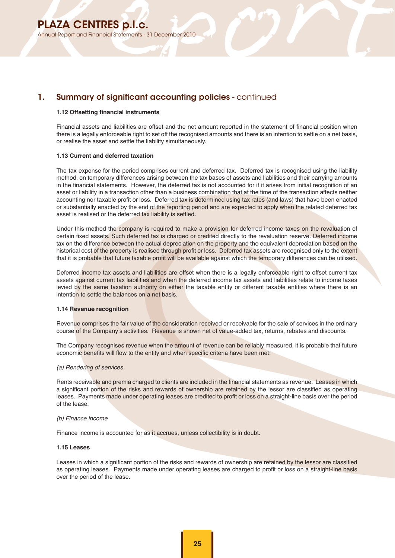## 1. Summary of significant accounting policies - continued PLAZA CENTRES p.l.c.<br>
Annual Report and Financial Statements - 31 December 2010<br>
1. Summary of significant accounting policies - continued

## **1.12 Offsetting financial instruments**

Financial assets and liabilities are offset and the net amount reported in the statement of financial position when there is a legally enforceable right to set off the recognised amounts and there is an intention to settle on a net basis, or realise the asset and settle the liability simultaneously.

## **1.13 Current and deferred taxation**

The tax expense for the period comprises current and deferred tax. Deferred tax is recognised using the liability method, on temporary differences arising between the tax bases of assets and liabilities and their carrying amounts in the financial statements. However, the deferred tax is not accounted for if it arises from initial recognition of an asset or liability in a transaction other than a business combination that at the time of the transaction affects neither accounting nor taxable profit or loss. Deferred tax is determined using tax rates (and laws) that have been enacted or substantially enacted by the end of the reporting period and are expected to apply when the related deferred tax asset is realised or the deferred tax liability is settled.

Under this method the company is required to make a provision for deferred income taxes on the revaluation of certain fixed assets. Such deferred tax is charged or credited directly to the revaluation reserve. Deferred income tax on the difference between the actual depreciation on the property and the equivalent depreciation based on the historical cost of the property is realised through profit or loss. Deferred tax assets are recognised only to the extent that it is probable that future taxable profit will be available against which the temporary differences can be utilised.

Deferred income tax assets and liabilities are offset when there is a legally enforceable right to offset current tax assets against current tax liabilities and when the deferred income tax assets and liabilities relate to income taxes levied by the same taxation authority on either the taxable entity or different taxable entities where there is an intention to settle the balances on a net basis.

## **1.14 Revenue recognition**

Revenue comprises the fair value of the consideration received or receivable for the sale of services in the ordinary course of the Company's activities. Revenue is shown net of value-added tax, returns, rebates and discounts.

The Company recognises revenue when the amount of revenue can be reliably measured, it is probable that future economic benefits will flow to the entity and when specific criteria have been met:

## *(a) Rendering of services*

Rents receivable and premia charged to clients are included in the financial statements as revenue. Leases in which a significant portion of the risks and rewards of ownership are retained by the lessor are classified as operating leases. Payments made under operating leases are credited to profit or loss on a straight-line basis over the period of the lease.

## *(b) Finance income*

Finance income is accounted for as it accrues, unless collectibility is in doubt.

## **1.15 Leases**

Leases in which a significant portion of the risks and rewards of ownership are retained by the lessor are classified as operating leases. Payments made under operating leases are charged to profit or loss on a straight-line basis over the period of the lease.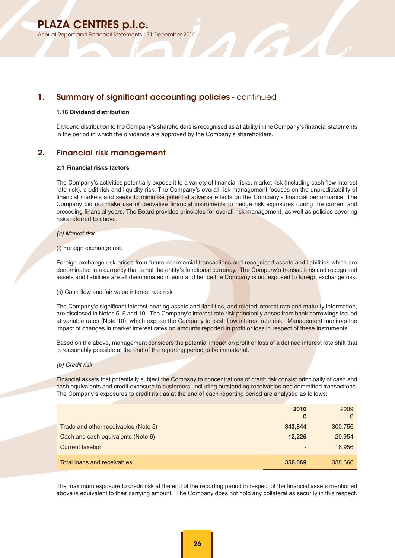## PLAZA CENTRES PLAZA CENTRES p.l.c.<br>Annual Report and Financial Statements - 31 December 2010 Annual Report and Financial Statements - 31 December 2010

## 1. Summary of significant accounting policies - continued

## **1.16 Dividend distribution**

Dividend distribution to the Company's shareholders is recognised as a liability in the Company's financial statements in the period in which the dividends are approved by the Company's shareholders.

## $2.$ **Financial risk management**

## **2.1 Financial risks factors**

The Company's activities potentially expose it to a variety of financial risks: market risk (including cash flow interest rate risk), credit risk and liquidity risk. The Company's overall risk management focuses on the unpredictability of financial markets and seeks to minimise potential adverse effects on the Company's financial performance. The Company did not make use of derivative financial instruments to hedge risk exposures during the current and preceding financial years. The Board provides principles for overall risk management, as well as policies covering risks referred to above.

*(a) Market risk*

## (i) Foreign exchange risk

Foreign exchange risk arises from future commercial transactions and recognised assets and liabilities which are denominated in a currency that is not the entity's functional currency. The Company's transactions and recognised assets and liabilities are all denominated in euro and hence the Company is not exposed to foreign exchange risk.

(ii) Cash flow and fair value interest rate risk

The Company's significant interest-bearing assets and liabilities, and related interest rate and maturity information, are disclosed in Notes 5, 6 and 10. The Company's interest rate risk principally arises from bank borrowings issued at variable rates (Note 10), which expose the Company to cash flow interest rate risk. Management monitors the impact of changes in market interest rates on amounts reported in profit or loss in respect of these instruments.

Based on the above, management considers the potential impact on profit or loss of a defined interest rate shift that is reasonably possible at the end of the reporting period to be immaterial.

*(b) Credit risk*

Financial assets that potentially subject the Company to concentrations of credit risk consist principally of cash and cash equivalents and credit exposure to customers, including outstanding receivables and committed transactions. The Company's exposures to credit risk as at the end of each reporting period are analysed as follows:

|                                      | 2010<br>€      | 2009<br>€ |
|--------------------------------------|----------------|-----------|
| Trade and other receivables (Note 5) | 343,844        | 300,756   |
| Cash and cash equivalents (Note 6)   | 12.225         | 20,954    |
| <b>Current taxation</b>              | $\blacksquare$ | 16,956    |
| Total loans and receivables          | 356,069        | 338,666   |

The maximum exposure to credit risk at the end of the reporting period in respect of the financial assets mentioned above is equivalent to their carrying amount. The Company does not hold any collateral as security in this respect.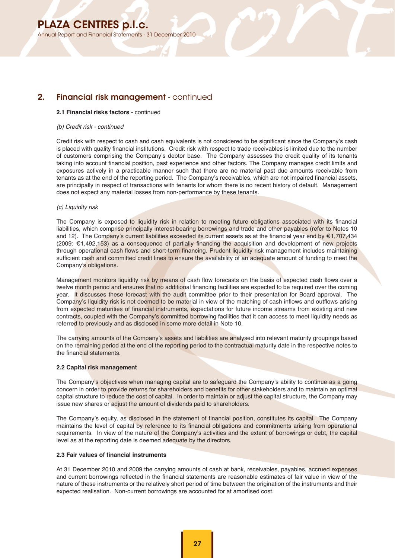## PLAZA CENTRES p.l.c.<br>Annual Report and Financial Statements - 31 December 2010<br>2. Financial risk management - continued Annual Report and Financial Statements - 31 December 2010

## 2. Financial risk management - continued

## **2.1 Financial risks factors** - continued

## *(b) Credit risk - continued*

Credit risk with respect to cash and cash equivalents is not considered to be significant since the Company's cash is placed with quality financial institutions. Credit risk with respect to trade receivables is limited due to the number of customers comprising the Company's debtor base. The Company assesses the credit quality of its tenants taking into account financial position, past experience and other factors. The Company manages credit limits and exposures actively in a practicable manner such that there are no material past due amounts receivable from tenants as at the end of the reporting period. The Company's receivables, which are not impaired financial assets, are principally in respect of transactions with tenants for whom there is no recent history of default. Management does not expect any material losses from non-performance by these tenants.

## *(c) Liquidity risk*

The Company is exposed to liquidity risk in relation to meeting future obligations associated with its financial liabilities, which comprise principally interest-bearing borrowings and trade and other payables (refer to Notes 10 and 12). The Company's current liabilities exceeded its current assets as at the financial year end by €1,707,434 (2009: €1,492,153) as a consequence of partially financing the acquisition and development of new projects through operational cash flows and short-term financing. Prudent liquidity risk management includes maintaining sufficient cash and committed credit lines to ensure the availability of an adequate amount of funding to meet the Company's obligations.

Management monitors liquidity risk by means of cash flow forecasts on the basis of expected cash flows over a twelve month period and ensures that no additional financing facilities are expected to be required over the coming year. It discusses these forecast with the audit committee prior to their presentation for Board approval. The Company's liquidity risk is not deemed to be material in view of the matching of cash inflows and outflows arising from expected maturities of financial instruments, expectations for future income streams from existing and new contracts, coupled with the Company's committed borrowing facilities that it can access to meet liquidity needs as referred to previously and as disclosed in some more detail in Note 10.

The carrying amounts of the Company's assets and liabilities are analysed into relevant maturity groupings based on the remaining period at the end of the reporting period to the contractual maturity date in the respective notes to the financial statements.

## **2.2 Capital risk management**

The Company's objectives when managing capital are to safeguard the Company's ability to continue as a going concern in order to provide returns for shareholders and benefits for other stakeholders and to maintain an optimal capital structure to reduce the cost of capital. In order to maintain or adjust the capital structure, the Company may issue new shares or adjust the amount of dividends paid to shareholders.

The Company's equity, as disclosed in the statement of financial position, constitutes its capital. The Company maintains the level of capital by reference to its financial obligations and commitments arising from operational requirements. In view of the nature of the Company's activities and the extent of borrowings or debt, the capital level as at the reporting date is deemed adequate by the directors.

## **2.3 Fair values of financial instruments**

At 31 December 2010 and 2009 the carrying amounts of cash at bank, receivables, payables, accrued expenses and current borrowings reflected in the financial statements are reasonable estimates of fair value in view of the nature of these instruments or the relatively short period of time between the origination of the instruments and their expected realisation. Non-current borrowings are accounted for at amortised cost.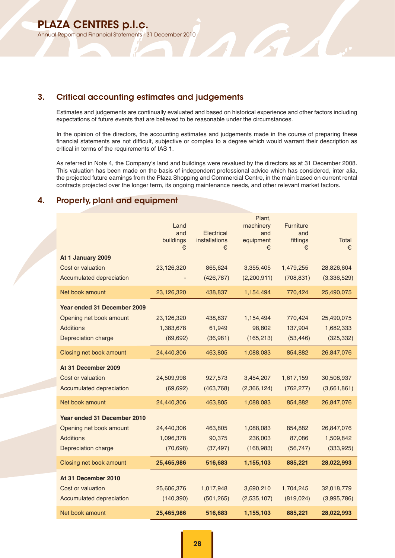## $3<sub>1</sub>$ 3. Critical accounting estimates and judgements

Estimates and judgements are continually evaluated and based on historical experience and other factors including expectations of future events that are believed to be reasonable under the circumstances.

In the opinion of the directors, the accounting estimates and judgements made in the course of preparing these financial statements are not difficult, subjective or complex to a degree which would warrant their description as critical in terms of the requirements of IAS 1.

As referred in Note 4, the Company's land and buildings were revalued by the directors as at 31 December 2008. This valuation has been made on the basis of independent professional advice which has considered, inter alia, the projected future earnings from the Plaza Shopping and Commercial Centre, in the main based on current rental contracts projected over the longer term, its ongoing maintenance needs, and other relevant market factors.

## $\mathbf{A}$ . Property, plant and equipment

|                                    | Land<br>and<br>buildings<br>€ | Electrical<br>installations<br>€ | Plant.<br>machinery<br>and<br>equipment<br>€ | <b>Furniture</b><br>and<br>fittings<br>€ | Total<br>€  |
|------------------------------------|-------------------------------|----------------------------------|----------------------------------------------|------------------------------------------|-------------|
| At 1 January 2009                  |                               |                                  |                                              |                                          |             |
| Cost or valuation                  | 23,126,320                    | 865.624                          | 3,355,405                                    | 1,479,255                                | 28,826,604  |
| Accumulated depreciation           |                               | (426, 787)                       | (2,200,911)                                  | (708, 831)                               | (3,336,529) |
| Net book amount                    | 23,126,320                    | 438,837                          | 1,154,494                                    | 770,424                                  | 25,490,075  |
| <b>Year ended 31 December 2009</b> |                               |                                  |                                              |                                          |             |
| Opening net book amount            | 23,126,320                    | 438,837                          | 1,154,494                                    | 770,424                                  | 25,490,075  |
| <b>Additions</b>                   | 1,383,678                     | 61,949                           | 98,802                                       | 137,904                                  | 1,682,333   |
| Depreciation charge                | (69, 692)                     | (36,981)                         | (165, 213)                                   | (53, 446)                                | (325, 332)  |
| Closing net book amount            | 24,440,306                    | 463,805                          | 1,088,083                                    | 854,882                                  | 26,847,076  |
| At 31 December 2009                |                               |                                  |                                              |                                          |             |
| Cost or valuation                  | 24,509,998                    | 927,573                          | 3,454,207                                    | 1,617,159                                | 30,508,937  |
| Accumulated depreciation           | (69, 692)                     | (463, 768)                       | (2,366,124)                                  | (762, 277)                               | (3,661,861) |
| Net book amount                    | 24,440,306                    | 463,805                          | 1,088,083                                    | 854,882                                  | 26,847,076  |
| Year ended 31 December 2010        |                               |                                  |                                              |                                          |             |
| Opening net book amount            | 24,440,306                    | 463,805                          | 1,088,083                                    | 854,882                                  | 26,847,076  |
| <b>Additions</b>                   | 1,096,378                     | 90,375                           | 236,003                                      | 87,086                                   | 1,509,842   |
| Depreciation charge                | (70, 698)                     | (37, 497)                        | (168, 983)                                   | (56, 747)                                | (333, 925)  |
| Closing net book amount            | 25,465,986                    | 516,683                          | 1,155,103                                    | 885,221                                  | 28,022,993  |
| At 31 December 2010                |                               |                                  |                                              |                                          |             |
| Cost or valuation                  | 25,606,376                    | 1,017,948                        | 3,690,210                                    | 1,704,245                                | 32,018,779  |
| Accumulated depreciation           | (140, 390)                    | (501, 265)                       | (2,535,107)                                  | (819, 024)                               | (3,995,786) |
| Net book amount                    | 25,465,986                    | 516,683                          | 1,155,103                                    | 885,221                                  | 28,022,993  |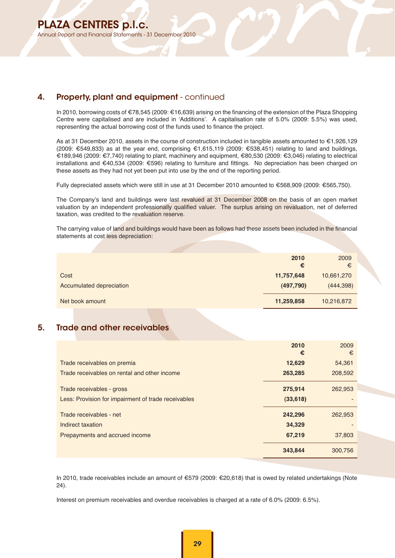## 4. Property, plant and equipment - continued

In 2010, borrowing costs of €78,545 (2009: €16,639) arising on the financing of the extension of the Plaza Shopping Centre were capitalised and are included in 'Additions'. A capitalisation rate of 5.0% (2009: 5.5%) was used, representing the actual borrowing cost of the funds used to finance the project.

As at 31 December 2010, assets in the course of construction included in tangible assets amounted to €1,926,129 (2009: €549,833) as at the year end, comprising €1,615,119 (2009: €538,451) relating to land and buildings, €189,946 (2009: €7,740) relating to plant, machinery and equipment, €80,530 (2009: €3,046) relating to electrical installations and €40,534 (2009: €596) relating to furniture and fittings. No depreciation has been charged on these assets as they had not yet been put into use by the end of the reporting period.

Fully depreciated assets which were still in use at 31 December 2010 amounted to €568,909 (2009: €565,750).

The Company's land and buildings were last revalued at 31 December 2008 on the basis of an open market valuation by an independent professionally qualified valuer. The surplus arising on revaluation, net of deferred taxation, was credited to the revaluation reserve.

The carrying value of land and buildings would have been as follows had these assets been included in the financial statements at cost less depreciation:

|                          | 2010<br>€  | 2009<br>€  |
|--------------------------|------------|------------|
| Cost                     | 11,757,648 | 10,661,270 |
| Accumulated depreciation | (497,790)  | (444, 398) |
| Net book amount          | 11,259,858 | 10,216,872 |

## $5<sub>1</sub>$ **Trade and other receivables** 5. Trade and other receivables

|                                                     | 2010<br>€ | 2009<br>€ |
|-----------------------------------------------------|-----------|-----------|
| Trade receivables on premia                         | 12,629    | 54,361    |
| Trade receivables on rental and other income        | 263,285   | 208,592   |
| Trade receivables - gross                           | 275,914   | 262,953   |
| Less: Provision for impairment of trade receivables | (33, 618) |           |
| Trade receivables - net                             | 242,296   | 262,953   |
| Indirect taxation                                   | 34,329    |           |
| Prepayments and accrued income                      | 67,219    | 37,803    |
|                                                     | 343.844   | 300.756   |

In 2010, trade receivables include an amount of €579 (2009: €20,618) that is owed by related undertakings (Note 24).

Interest on premium receivables and overdue receivables is charged at a rate of 6.0% (2009: 6.5%).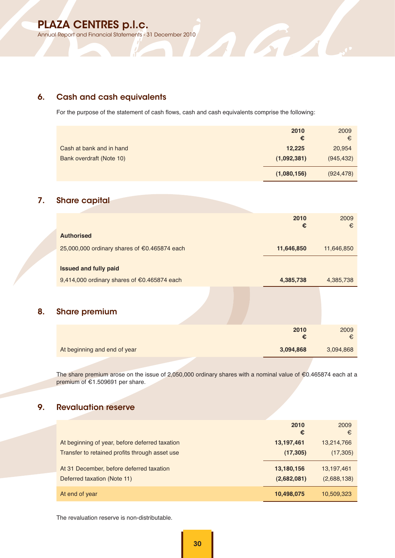## Cash and cash equivalents

For the purpose of the statement of cash flows, cash and cash equivalents comprise the following:

|                          | 2010<br>€   | 2009<br>€  |
|--------------------------|-------------|------------|
| Cash at bank and in hand | 12,225      | 20,954     |
| Bank overdraft (Note 10) | (1,092,381) | (945, 432) |
|                          | (1,080,156) | (924, 478) |

## Share capital  $7.$

 $8<sub>1</sub>$ 

|                                              | 2010<br>€  | 2009<br>€  |
|----------------------------------------------|------------|------------|
| <b>Authorised</b>                            |            |            |
| 25,000,000 ordinary shares of €0.465874 each | 11,646,850 | 11,646,850 |
| <b>Issued and fully paid</b>                 |            |            |
| 9,414,000 ordinary shares of €0.465874 each  | 4,385,738  | 4,385,738  |
| <b>Share premium</b>                         |            |            |
|                                              | 2010<br>€  | 2009<br>€  |
| At beginning and end of year                 | 3,094,868  | 3,094,868  |

The share premium arose on the issue of 2,050,000 ordinary shares with a nominal value of €0.465874 each at a premium of €1.509691 per share.

## **Revaluation reserve** 9.

|                                                | 2010<br>€   | 2009<br>€   |
|------------------------------------------------|-------------|-------------|
| At beginning of year, before deferred taxation | 13,197,461  | 13,214,766  |
| Transfer to retained profits through asset use | (17, 305)   | (17, 305)   |
| At 31 December, before deferred taxation       | 13,180,156  | 13,197,461  |
| Deferred taxation (Note 11)                    | (2,682,081) | (2,688,138) |
| At end of year                                 | 10,498,075  | 10,509,323  |

The revaluation reserve is non-distributable.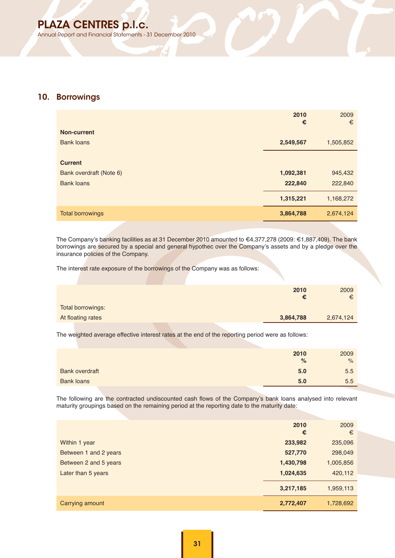## 10. Borrowings

|                         | 2010<br>€ | 2009<br>€ |
|-------------------------|-----------|-----------|
| <b>Non-current</b>      |           |           |
| <b>Bank loans</b>       | 2,549,567 | 1,505,852 |
| <b>Current</b>          |           |           |
| Bank overdraft (Note 6) | 1,092,381 | 945,432   |
| <b>Bank loans</b>       | 222,840   | 222,840   |
|                         | 1,315,221 | 1,168,272 |
| <b>Total borrowings</b> | 3,864,788 | 2,674,124 |

The Company's banking facilities as at 31 December 2010 amounted to €4,377,278 (2009: €1,887,409). The bank borrowings are secured by a special and general hypothec over the Company's assets and by a pledge over the insurance policies of the Company.

The interest rate exposure of the borrowings of the Company was as follows:

|                   |  | 2010<br>€ | 2009<br>€ |
|-------------------|--|-----------|-----------|
| Total borrowings: |  |           |           |
| At floating rates |  | 3,864,788 | 2,674,124 |
|                   |  |           |           |

The weighted average effective interest rates at the end of the reporting period were as follows:

|                       | 2010<br>$\frac{9}{6}$ | 2009<br>$\frac{9}{6}$ |
|-----------------------|-----------------------|-----------------------|
| <b>Bank overdraft</b> | 5.0                   | 5.5                   |
| <b>Bank loans</b>     | 5.0                   | 5.5                   |

The following are the contracted undiscounted cash flows of the Company's bank loans analysed into relevant maturity groupings based on the remaining period at the reporting date to the maturity date:

|                       | 2010<br>€ | 2009<br>€ |
|-----------------------|-----------|-----------|
| Within 1 year         | 233,982   | 235,096   |
| Between 1 and 2 years | 527,770   | 298,049   |
| Between 2 and 5 years | 1,430,798 | 1,005,856 |
| Later than 5 years    | 1,024,635 | 420,112   |
|                       | 3,217,185 | 1,959,113 |
| Carrying amount       | 2,772,407 | 1,728,692 |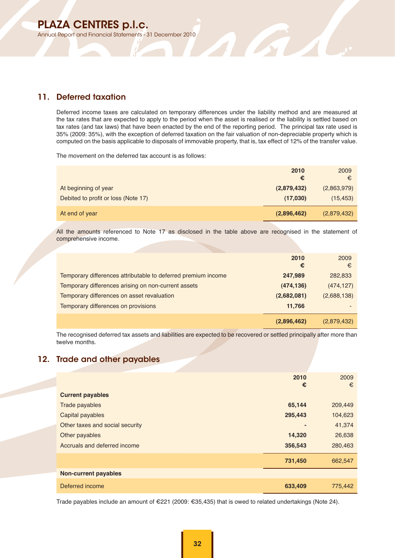## 11. Deferred taxation Deferred taxation

Deferred income taxes are calculated on temporary differences under the liability method and are measured at the tax rates that are expected to apply to the period when the asset is realised or the liability is settled based on tax rates (and tax laws) that have been enacted by the end of the reporting period. The principal tax rate used is 35% (2009: 35%), with the exception of deferred taxation on the fair valuation of non-depreciable property which is computed on the basis applicable to disposals of immovable property, that is, tax effect of 12% of the transfer value.

The movement on the deferred tax account is as follows:

|                                                             | 2010                    | 2009<br>€                |
|-------------------------------------------------------------|-------------------------|--------------------------|
| At beginning of year<br>Debited to profit or loss (Note 17) | (2,879,432)<br>(17,030) | (2,863,979)<br>(15, 453) |
| At end of year                                              | (2,896,462)             | (2,879,432)              |

All the amounts referenced to Note 17 as disclosed in the table above are recognised in the statement of comprehensive income.

|                                                               | 2010<br>€   | 2009<br>€   |
|---------------------------------------------------------------|-------------|-------------|
| Temporary differences attributable to deferred premium income | 247,989     | 282,833     |
| Temporary differences arising on non-current assets           | (474, 136)  | (474, 127)  |
| Temporary differences on asset revaluation                    | (2,682,081) | (2,688,138) |
| Temporary differences on provisions                           | 11,766      |             |
|                                                               | (2,896,462) | (2,879,432) |

The recognised deferred tax assets and liabilities are expected to be recovered or settled principally after more than twelve months.

## Trade and other payables and other payables

|                                 | 2010<br>€ | 2009<br>€ |
|---------------------------------|-----------|-----------|
| <b>Current payables</b>         |           |           |
| Trade payables                  | 65,144    | 209,449   |
| Capital payables                | 295,443   | 104,623   |
| Other taxes and social security |           | 41,374    |
| Other payables                  | 14,320    | 26,638    |
| Accruals and deferred income    | 356,543   | 280,463   |
|                                 | 731,450   | 662,547   |
| <b>Non-current payables</b>     |           |           |
| Deferred income                 | 633,409   | 775,442   |

Trade payables include an amount of €221 (2009: €35,435) that is owed to related undertakings (Note 24).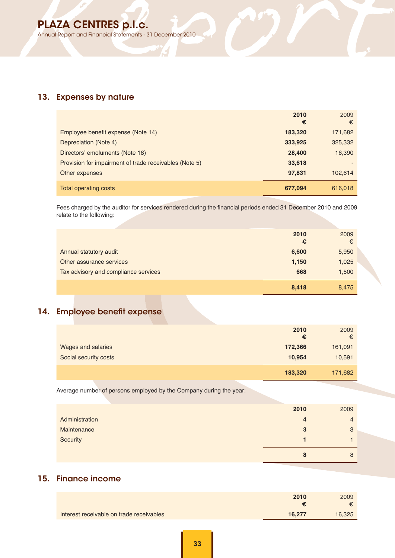Annual Report and Financial Statements - 31 December 2010

## Expenses by nature 13.

|                                                        | 2010<br>€ | 2009<br>€ |
|--------------------------------------------------------|-----------|-----------|
| Employee benefit expense (Note 14)                     | 183,320   | 171,682   |
| Depreciation (Note 4)                                  | 333,925   | 325,332   |
| Directors' emoluments (Note 18)                        | 28,400    | 16,390    |
| Provision for impairment of trade receivables (Note 5) | 33,618    |           |
| Other expenses                                         | 97,831    | 102,614   |
| Total operating costs                                  | 677,094   | 616,018   |

Fees charged by the auditor for services rendered during the financial periods ended 31 December 2010 and 2009 relate to the following:

|                                      | 2010<br>€ | 2009<br>€ |
|--------------------------------------|-----------|-----------|
| Annual statutory audit               | 6,600     | 5,950     |
| Other assurance services             | 1,150     | 1,025     |
| Tax advisory and compliance services | 668       | 1,500     |
|                                      | 8,418     | 8.475     |

## Employee benefi t expense 14.

|                       | 2010<br>€ | 2009<br>€ |
|-----------------------|-----------|-----------|
| Wages and salaries    | 172,366   | 161,091   |
| Social security costs | 10,954    | 10,591    |
|                       | 183,320   | 171,682   |

Average number of persons employed by the Company during the year:

|                | 2010 | 2009 |
|----------------|------|------|
| Administration | 4    | 4    |
| Maintenance    | 3    | 3    |
| Security       |      |      |
|                | 8    | 8    |

## Finance income

|                                          | 2010   | 2009   |
|------------------------------------------|--------|--------|
| Interest receivable on trade receivables | 16,277 | 16,325 |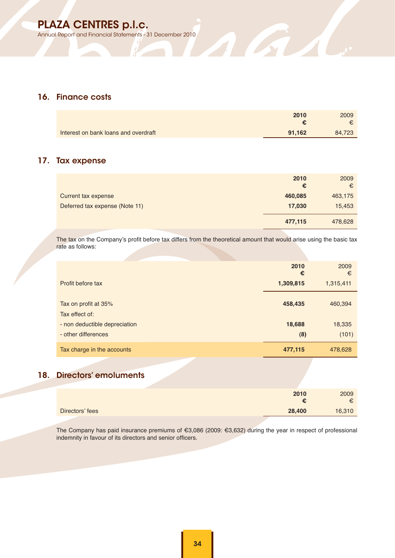## PLAZA CENTRES PLAZA CENTRES p.l.c.<br>Annual Report and Financial Statements - 31 December 2010

Annual Report and Financial Statements - 31 December 2010

## Finance costs

|                                      | 2010   | 2009<br>€, |
|--------------------------------------|--------|------------|
| Interest on bank loans and overdraft | 91.162 | 84,723     |

## Tax expense 17.

|                                | 2010<br>€ | 2009<br>€ |
|--------------------------------|-----------|-----------|
| Current tax expense            | 460,085   | 463,175   |
| Deferred tax expense (Note 11) | 17,030    | 15,453    |
|                                | 477,115   | 478,628   |

The tax on the Company's profit before tax differs from the theoretical amount that would arise using the basic tax rate as follows:

| Profit before tax                                    | 2010<br>€<br>1,309,815 | 2009<br>€<br>1,315,411 |
|------------------------------------------------------|------------------------|------------------------|
| Tax on profit at 35%<br>Tax effect of:               | 458,435                | 460,394                |
| - non deductible depreciation<br>- other differences | 18,688<br>(8)          | 18,335<br>(101)        |
| Tax charge in the accounts                           | 477,115                | 478,628                |

## 18. Directors' emoluments Directors' emoluments

|                 | 2010<br>$\sim$<br>$\bullet$ | 2009<br>€ |
|-----------------|-----------------------------|-----------|
| Directors' fees | 28,400                      | 16,310    |

The Company has paid insurance premiums of €3,086 (2009: €3,632) during the year in respect of professional indemnity in favour of its directors and senior officers.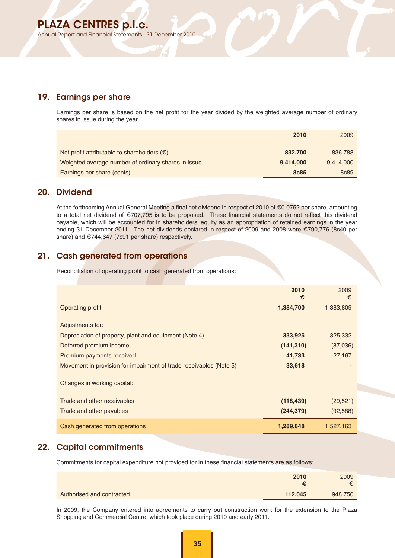## Earnings per share 19.

Earnings per share is based on the net profit for the year divided by the weighted average number of ordinary shares in issue during the year.

|                                                      | 2010        | 2009        |
|------------------------------------------------------|-------------|-------------|
| Net profit attributable to shareholders $(\epsilon)$ | 832,700     | 836,783     |
| Weighted average number of ordinary shares in issue  | 9,414,000   | 9.414.000   |
| Earnings per share (cents)                           | <b>8c85</b> | <b>8c89</b> |

## 20. Dividend Dividend

At the forthcoming Annual General Meeting a final net dividend in respect of 2010 of €0.0752 per share, amounting to a total net dividend of  $\epsilon$ 707,795 is to be proposed. These financial statements do not reflect this dividend payable, which will be accounted for in shareholders' equity as an appropriation of retained earnings in the year ending 31 December 2011. The net dividends declared in respect of 2009 and 2008 were €790,776 (8c40 per share) and €744,647 (7c91 per share) respectively.

## Cash generated from operations 21.

Reconciliation of operating profit to cash generated from operations:

|                                                                    | 2010<br>€  | 2009<br>€ |
|--------------------------------------------------------------------|------------|-----------|
| Operating profit                                                   | 1,384,700  | 1,383,809 |
| Adjustments for:                                                   |            |           |
| Depreciation of property, plant and equipment (Note 4)             | 333,925    | 325,332   |
| Deferred premium income                                            | (141, 310) | (87,036)  |
| Premium payments received                                          | 41,733     | 27,167    |
| Movement in provision for impairment of trade receivables (Note 5) | 33,618     |           |
| Changes in working capital:                                        |            |           |
| Trade and other receivables                                        | (118, 439) | (29, 521) |
| Trade and other payables                                           | (244, 379) | (92, 588) |
| Cash generated from operations                                     | 1,289,848  | 1,527,163 |

## Capital commitments 22.

Commitments for capital expenditure not provided for in these financial statements are as follows:

|                           | 2010    | 2009    |
|---------------------------|---------|---------|
|                           |         | €       |
| Authorised and contracted | 112,045 | 948,750 |

In 2009, the Company entered into agreements to carry out construction work for the extension to the Plaza Shopping and Commercial Centre, which took place during 2010 and early 2011.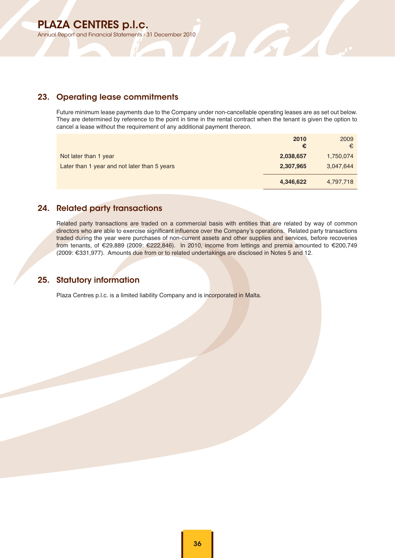## Operating lease commitments 23.

Future minimum lease payments due to the Company under non-cancellable operating leases are as set out below. They are determined by reference to the point in time in the rental contract when the tenant is given the option to cancel a lease without the requirement of any additional payment thereon.

|                                              | 2010<br>€ | 2009<br>€ |
|----------------------------------------------|-----------|-----------|
| Not later than 1 year                        | 2,038,657 | 1,750,074 |
| Later than 1 year and not later than 5 years | 2,307,965 | 3,047,644 |
|                                              | 4,346,622 | 4,797,718 |

## Related party transactions 24.

Related party transactions are traded on a commercial basis with entities that are related by way of common directors who are able to exercise significant influence over the Company's operations. Related party transactions traded during the year were purchases of non-current assets and other supplies and services, before recoveries from tenants, of €29,889 (2009: €222,846). In 2010, income from lettings and premia amounted to €200,749 (2009: €331,977). Amounts due from or to related undertakings are disclosed in Notes 5 and 12.

## Statutory information 25.

Plaza Centres p.l.c. is a limited liability Company and is incorporated in Malta.